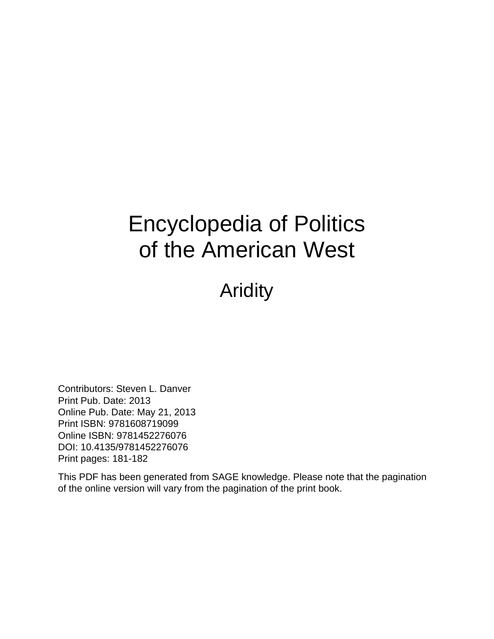## Encyclopedia of Politics of the American West

Aridity

Contributors: Steven L. Danver Print Pub. Date: 2013 Online Pub. Date: May 21, 2013 Print ISBN: 9781608719099 Online ISBN: 9781452276076 DOI: 10.4135/9781452276076 Print pages: 181-182

This PDF has been generated from SAGE knowledge. Please note that the pagination of the online version will vary from the pagination of the print book.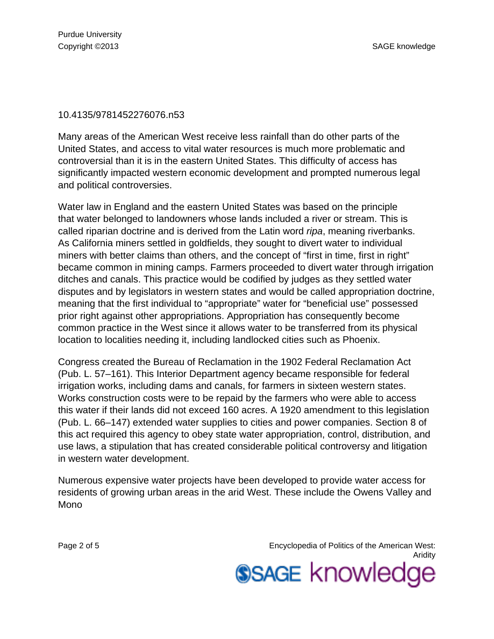## 10.4135/9781452276076.n53

Many areas of the American West receive less rainfall than do other parts of the United States, and access to vital water resources is much more problematic and controversial than it is in the eastern United States. This difficulty of access has significantly impacted western economic development and prompted numerous legal and political controversies.

Water law in England and the eastern United States was based on the principle that water belonged to landowners whose lands included a river or stream. This is called riparian doctrine and is derived from the Latin word ripa, meaning riverbanks. As California miners settled in goldfields, they sought to divert water to individual miners with better claims than others, and the concept of "first in time, first in right" became common in mining camps. Farmers proceeded to divert water through irrigation ditches and canals. This practice would be codified by judges as they settled water disputes and by legislators in western states and would be called appropriation doctrine, meaning that the first individual to "appropriate" water for "beneficial use" possessed prior right against other appropriations. Appropriation has consequently become common practice in the West since it allows water to be transferred from its physical location to localities needing it, including landlocked cities such as Phoenix.

Congress created the Bureau of Reclamation in the 1902 Federal Reclamation Act (Pub. L. 57–161). This Interior Department agency became responsible for federal irrigation works, including dams and canals, for farmers in sixteen western states. Works construction costs were to be repaid by the farmers who were able to access this water if their lands did not exceed 160 acres. A 1920 amendment to this legislation (Pub. L. 66–147) extended water supplies to cities and power companies. Section 8 of this act required this agency to obey state water appropriation, control, distribution, and use laws, a stipulation that has created considerable political controversy and litigation in western water development.

Numerous expensive water projects have been developed to provide water access for residents of growing urban areas in the arid West. These include the Owens Valley and Mono

Page 2 of 5 Encyclopedia of Politics of the American West: Aridity **SSAGE knowledge**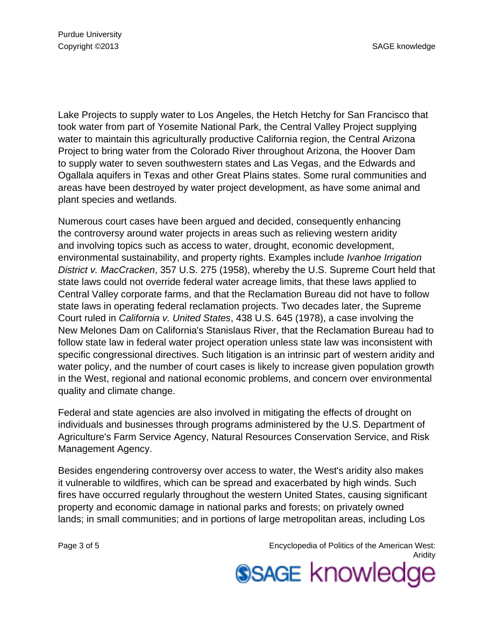Lake Projects to supply water to Los Angeles, the Hetch Hetchy for San Francisco that took water from part of Yosemite National Park, the Central Valley Project supplying water to maintain this agriculturally productive California region, the Central Arizona Project to bring water from the Colorado River throughout Arizona, the Hoover Dam to supply water to seven southwestern states and Las Vegas, and the Edwards and Ogallala aquifers in Texas and other Great Plains states. Some rural communities and areas have been destroyed by water project development, as have some animal and plant species and wetlands.

Numerous court cases have been argued and decided, consequently enhancing the controversy around water projects in areas such as relieving western aridity and involving topics such as access to water, drought, economic development, environmental sustainability, and property rights. Examples include Ivanhoe Irrigation District v. MacCracken, 357 U.S. 275 (1958), whereby the U.S. Supreme Court held that state laws could not override federal water acreage limits, that these laws applied to Central Valley corporate farms, and that the Reclamation Bureau did not have to follow state laws in operating federal reclamation projects. Two decades later, the Supreme Court ruled in California v. United States, 438 U.S. 645 (1978), a case involving the New Melones Dam on California's Stanislaus River, that the Reclamation Bureau had to follow state law in federal water project operation unless state law was inconsistent with specific congressional directives. Such litigation is an intrinsic part of western aridity and water policy, and the number of court cases is likely to increase given population growth in the West, regional and national economic problems, and concern over environmental quality and climate change.

Federal and state agencies are also involved in mitigating the effects of drought on individuals and businesses through programs administered by the U.S. Department of Agriculture's Farm Service Agency, Natural Resources Conservation Service, and Risk Management Agency.

Besides engendering controversy over access to water, the West's aridity also makes it vulnerable to wildfires, which can be spread and exacerbated by high winds. Such fires have occurred regularly throughout the western United States, causing significant property and economic damage in national parks and forests; on privately owned lands; in small communities; and in portions of large metropolitan areas, including Los

Page 3 of 5 Encyclopedia of Politics of the American West: Aridity **SSAGE knowledge**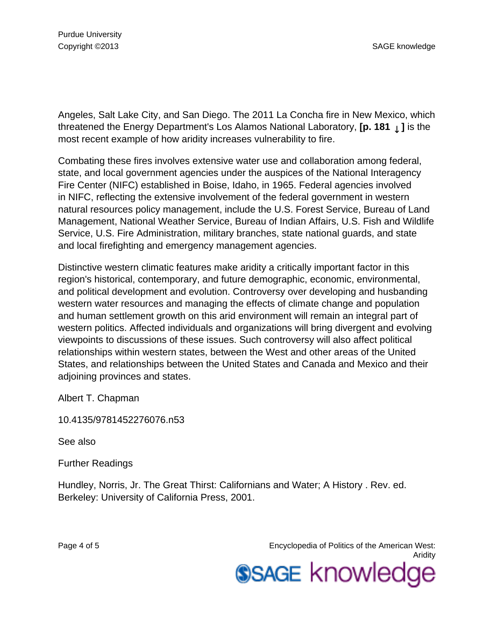Angeles, Salt Lake City, and San Diego. The 2011 La Concha fire in New Mexico, which threatened the Energy Department's Los Alamos National Laboratory, **[p. 181** ↓ **]** is the most recent example of how aridity increases vulnerability to fire.

Combating these fires involves extensive water use and collaboration among federal, state, and local government agencies under the auspices of the National Interagency Fire Center (NIFC) established in Boise, Idaho, in 1965. Federal agencies involved in NIFC, reflecting the extensive involvement of the federal government in western natural resources policy management, include the U.S. Forest Service, Bureau of Land Management, National Weather Service, Bureau of Indian Affairs, U.S. Fish and Wildlife Service, U.S. Fire Administration, military branches, state national guards, and state and local firefighting and emergency management agencies.

Distinctive western climatic features make aridity a critically important factor in this region's historical, contemporary, and future demographic, economic, environmental, and political development and evolution. Controversy over developing and husbanding western water resources and managing the effects of climate change and population and human settlement growth on this arid environment will remain an integral part of western politics. Affected individuals and organizations will bring divergent and evolving viewpoints to discussions of these issues. Such controversy will also affect political relationships within western states, between the West and other areas of the United States, and relationships between the United States and Canada and Mexico and their adjoining provinces and states.

Albert T. Chapman

10.4135/9781452276076.n53

See also

Further Readings

Hundley, Norris, Jr. The Great Thirst: Californians and Water; A History . Rev. ed. Berkeley: University of California Press, 2001.

Page 4 of 5 Encyclopedia of Politics of the American West: Aridity **SSAGE knowledge**